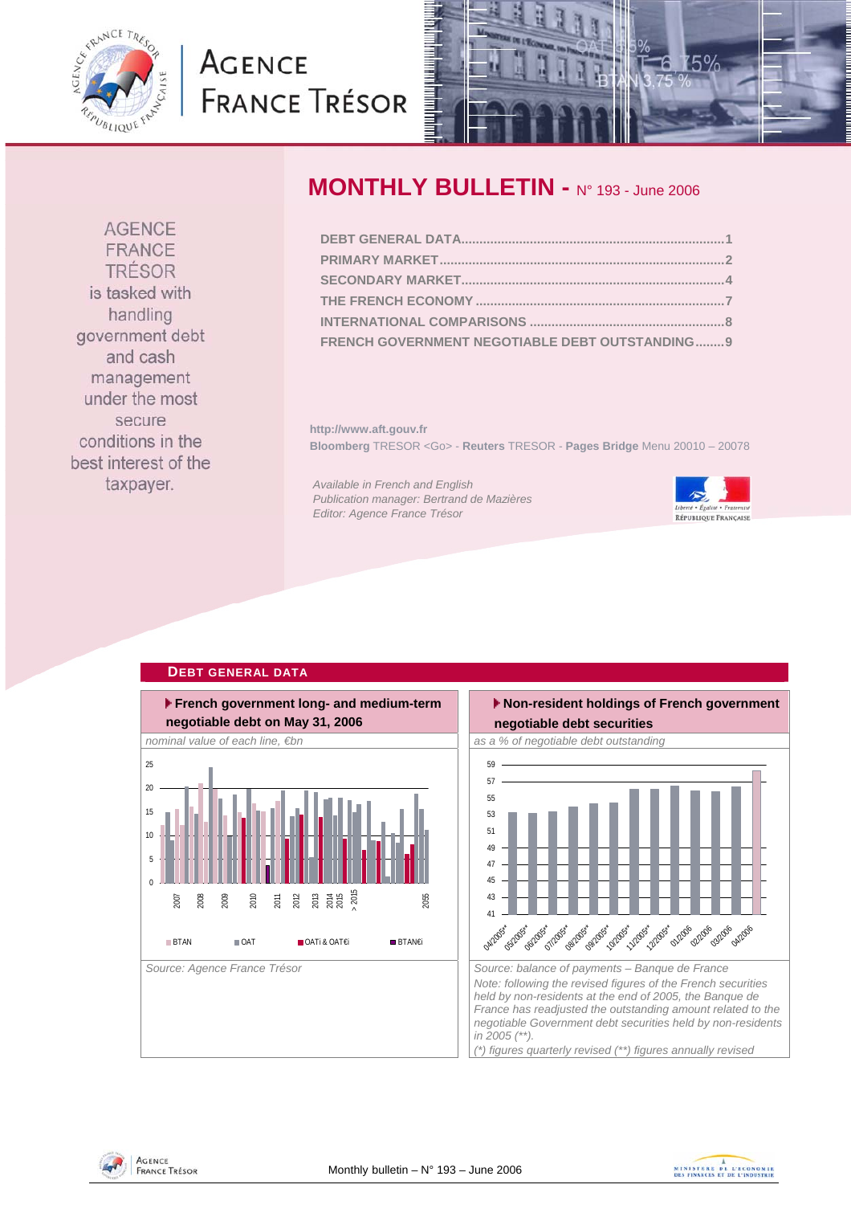<span id="page-0-0"></span>

# **AGENCE FRANCE TRÉSOR**



### **MONTHLY BULLETIN -** N° 193 - June 2006

| FRENCH GOVERNMENT NEGOTIABLE DEBT OUTSTANDING9 |  |
|------------------------------------------------|--|

**http://www.aft.gouv.fr Bloomberg** TRESOR <Go> - **Reuters** TRESOR - **Pages Bridge** Menu 20010 – 20078

*Available in French and English Publication manager: Bertrand de Mazières Editor: Agence France Trésor* 





#### **Non-resident holdings of French government negotiable debt securities**  *Source: Agence France Trésor Source: balance of payments – Banque de France Note: following the revised figures of the French securities held by non-residents at the end of 2005, the Banque de*  41 43 45 47 49 51 53 55 57 59 **04/2005 05/2005** oblass\* ollass\* 08/2005 Tolicos\* 10/2005 1/2005 12/2005 **01/20** 02/2006 03/2006 OAI2006

*France has readjusted the outstanding amount related to the negotiable Government debt securities held by non-residents in 2005 (\*\*).* 

*(\*) figures quarterly revised (\*\*) figures annually revised* 

**AGENCE** FRANCE TRÉSOR is tasked with handling government debt and cash management under the most

secure conditions in the best interest of the taxpayer.

## **DEBT GENERAL DATA**



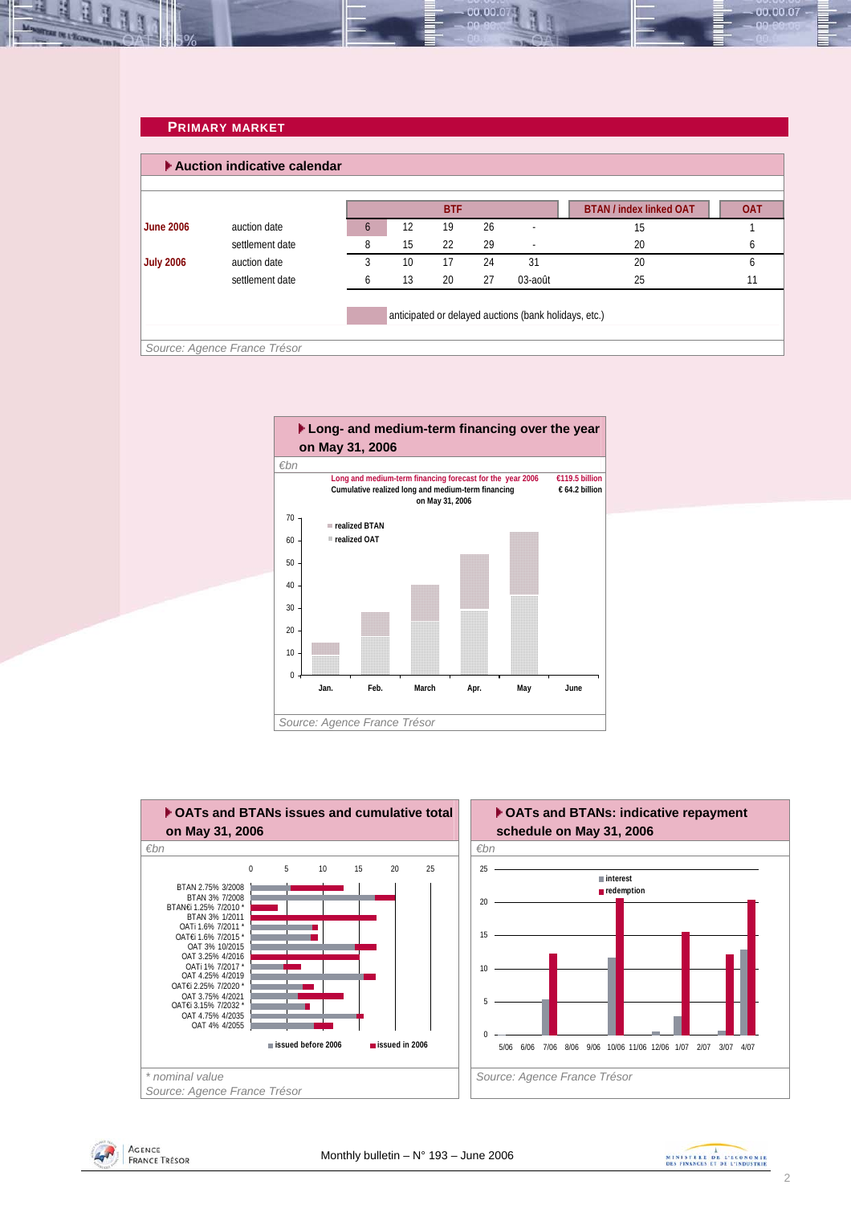### **PRIMARY MARKET**

<span id="page-1-0"></span>

|                  |                 |   |    | <b>BTF</b> |    |         | <b>BTAN / index linked OAT</b> | <b>OAT</b> |
|------------------|-----------------|---|----|------------|----|---------|--------------------------------|------------|
| <b>June 2006</b> | auction date    | 6 | 12 | 19         | 26 |         | 15                             |            |
|                  | settlement date | 8 | 15 | 22         | 29 |         | 20                             |            |
| <b>July 2006</b> | auction date    | 3 | 10 | 17         | 24 | 31      | 20                             |            |
|                  | settlement date | h | 13 | 20         | 27 | 03-août | 25                             |            |

00.00.0









00.00.07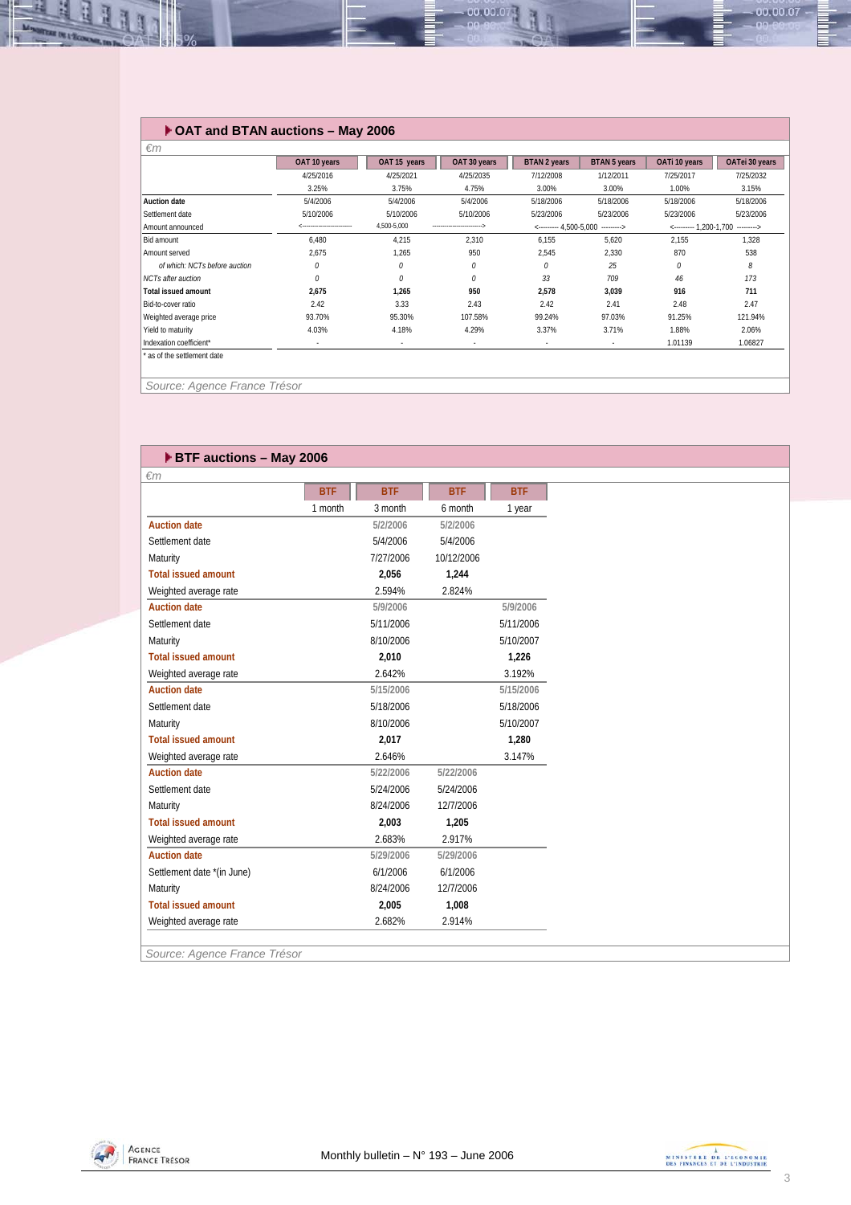### **OAT and BTAN auctions – May 2006**

| $\epsilon$ m                  |              |              |              |                                    |                          |                        |                |
|-------------------------------|--------------|--------------|--------------|------------------------------------|--------------------------|------------------------|----------------|
|                               | OAT 10 years | OAT 15 years | OAT 30 years | <b>BTAN 2 years</b>                | <b>BTAN 5 years</b>      | OATi 10 years          | OATei 30 years |
|                               | 4/25/2016    | 4/25/2021    | 4/25/2035    | 7/12/2008                          | 1/12/2011                | 7/25/2017              | 7/25/2032      |
|                               | 3.25%        | 3.75%        | 4.75%        | 3.00%                              | 3.00%                    | 1.00%                  | 3.15%          |
| <b>Auction date</b>           | 5/4/2006     | 5/4/2006     | 5/4/2006     | 5/18/2006                          | 5/18/2006                | 5/18/2006              | 5/18/2006      |
| Settlement date               | 5/10/2006    | 5/10/2006    | 5/10/2006    | 5/23/2006                          | 5/23/2006                | 5/23/2006              | 5/23/2006      |
| Amount announced              |              | 4,500-5,000  |              | $\leftarrow$ --------- 4.500-5.000 | >                        | <--------- 1.200-1.700 |                |
| Bid amount                    | 6.480        | 4,215        | 2,310        | 6.155                              | 5.620                    | 2,155                  | 1,328          |
| Amount served                 | 2.675        | 1.265        | 950          | 2.545                              | 2.330                    | 870                    | 538            |
| of which: NCTs before auction | 0            | 0            | 0            | 0                                  | 25                       | 0                      | 8              |
| <b>NCTs after auction</b>     | 0            | 0            | 0            | 33                                 | 709                      | 46                     | 173            |
| <b>Total issued amount</b>    | 2,675        | 1,265        | 950          | 2,578                              | 3.039                    | 916                    | 711            |
| Bid-to-cover ratio            | 2.42         | 3.33         | 2.43         | 2.42                               | 2.41                     | 2.48                   | 2.47           |
| Weighted average price        | 93.70%       | 95.30%       | 107.58%      | 99.24%                             | 97.03%                   | 91.25%                 | 121.94%        |
| Yield to maturity             | 4.03%        | 4.18%        | 4.29%        | 3.37%                              | 3.71%                    | 1.88%                  | 2.06%          |
| Indexation coefficient*       | $\sim$       | $\sim$       | $\sim$       | ٠                                  | $\overline{\phantom{a}}$ | 1.01139                | 1.06827        |
| as of the settlement date     |              |              |              |                                    |                          |                        |                |

00.00.07

*Source: Agence France Trésor* 

**He did the Second Street** 

| <b>ETF auctions - May 2006</b>             |            |            |            |            |
|--------------------------------------------|------------|------------|------------|------------|
| $\epsilon$ m                               |            |            |            |            |
|                                            | <b>BTF</b> | <b>BTF</b> | <b>BTF</b> | <b>BTF</b> |
|                                            | 1 month    | 3 month    | 6 month    | 1 year     |
| <b>Auction date</b>                        |            | 5/2/2006   | 5/2/2006   |            |
| Settlement date                            |            | 5/4/2006   | 5/4/2006   |            |
| Maturity                                   |            | 7/27/2006  | 10/12/2006 |            |
| <b>Total issued amount</b>                 |            | 2,056      | 1,244      |            |
| Weighted average rate                      |            | 2.594%     | 2.824%     |            |
| <b>Auction date</b>                        |            | 5/9/2006   |            | 5/9/2006   |
| Settlement date                            |            | 5/11/2006  |            | 5/11/2006  |
| Maturity                                   |            | 8/10/2006  |            | 5/10/2007  |
| <b>Total issued amount</b>                 |            | 2.010      |            | 1,226      |
| Weighted average rate                      |            | 2.642%     |            | 3.192%     |
| <b>Auction date</b>                        |            | 5/15/2006  |            | 5/15/2006  |
| Settlement date                            |            | 5/18/2006  |            | 5/18/2006  |
| Maturity                                   |            | 8/10/2006  |            | 5/10/2007  |
| <b>Total issued amount</b>                 |            | 2,017      |            | 1,280      |
| Weighted average rate                      |            | 2.646%     |            | 3.147%     |
| <b>Auction date</b>                        |            | 5/22/2006  | 5/22/2006  |            |
| Settlement date                            |            | 5/24/2006  | 5/24/2006  |            |
| Maturity                                   |            | 8/24/2006  | 12/7/2006  |            |
| <b>Total issued amount</b>                 |            | 2.003      | 1,205      |            |
| Weighted average rate                      |            | 2.683%     | 2.917%     |            |
| <b>Auction date</b>                        |            | 5/29/2006  | 5/29/2006  |            |
| Settlement date *(in June)                 |            | 6/1/2006   | 6/1/2006   |            |
| Maturity                                   |            | 8/24/2006  | 12/7/2006  |            |
| <b>Total issued amount</b>                 |            | 2,005      | 1,008      |            |
| Weighted average rate                      |            | 2.682%     | 2.914%     |            |
| $\overline{a}$<br>$\overline{\phantom{a}}$ |            |            |            |            |

*Source: Agence France Trésor* 





00.00.07 -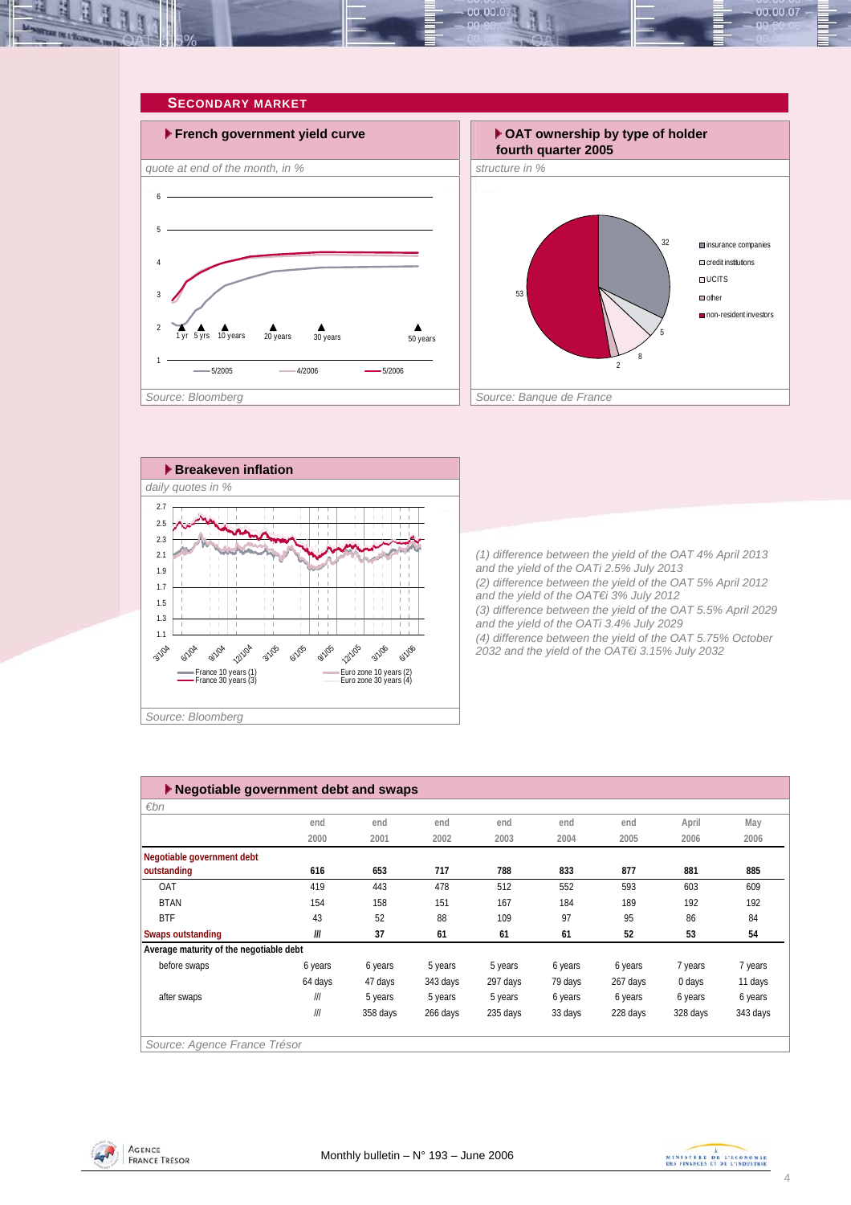<span id="page-3-0"></span>





 **Breakeven inflation** *daily quotes in %*  2.7 ÷ί 2.5 ïί 2.3 2.1 1.9 1.7  $\frac{1}{1}$ T  $\frac{1}{1}$  $\frac{1}{1}$  $\frac{1}{1}$  $\frac{1}{1}$  $\frac{1}{1}$ 1.5 1.3  $\mathbf{1}$  ,  $\mathbf{1}$  ,  $\mathbf{1}$  ,  $\mathbf{1}$  ,  $\mathbf{1}$ πī  $-1$  $\overline{1}$  $\overline{1}$  $\mathbf{I}$ 1.1 12/1/05 **12/1/04** 3/1/05 **6/1/05** 9/1/05 **6/1/06** 3/1/04 **6/104** 9/1/04 3/1/06 France 10 years (1) Euro zone 10 years (2)<br>France 30 years (3) Euro zone 30 years (4) *Source: Bloomberg* 

*(1) difference between the yield of the OAT 4% April 2013 and the yield of the OATi 2.5% July 2013 (2) difference between the yield of the OAT 5% April 2012 and the yield of the OAT€i 3% July 2012 (3) difference between the yield of the OAT 5.5% April 2029 and the yield of the OATi 3.4% July 2029 (4) difference between the yield of the OAT 5.75% October 2032 and the yield of the OAT€i 3.15% July 2032* 

| $\varepsilon$ bn                        |         |          |          |          |         |          |          |          |
|-----------------------------------------|---------|----------|----------|----------|---------|----------|----------|----------|
|                                         | end     | end      | end      | end      | end     | end      | April    | May      |
|                                         | 2000    | 2001     | 2002     | 2003     | 2004    | 2005     | 2006     | 2006     |
| Negotiable government debt              |         |          |          |          |         |          |          |          |
| outstanding                             | 616     | 653      | 717      | 788      | 833     | 877      | 881      | 885      |
| OAT                                     | 419     | 443      | 478      | 512      | 552     | 593      | 603      | 609      |
| <b>BTAN</b>                             | 154     | 158      | 151      | 167      | 184     | 189      | 192      | 192      |
| <b>BTF</b>                              | 43      | 52       | 88       | 109      | 97      | 95       | 86       | 84       |
| Swaps outstanding                       | III     | 37       | 61       | 61       | 61      | 52       | 53       | 54       |
| Average maturity of the negotiable debt |         |          |          |          |         |          |          |          |
| before swaps                            | 6 years | 6 years  | 5 years  | 5 years  | 6 years | 6 years  | 7 years  | 7 years  |
|                                         | 64 days | 47 days  | 343 days | 297 days | 79 days | 267 days | 0 days   | 11 days  |
| after swaps                             | III     | 5 years  | 5 years  | 5 years  | 6 years | 6 years  | 6 years  | 6 years  |
|                                         | III     | 358 days | 266 days | 235 days | 33 days | 228 days | 328 days | 343 days |



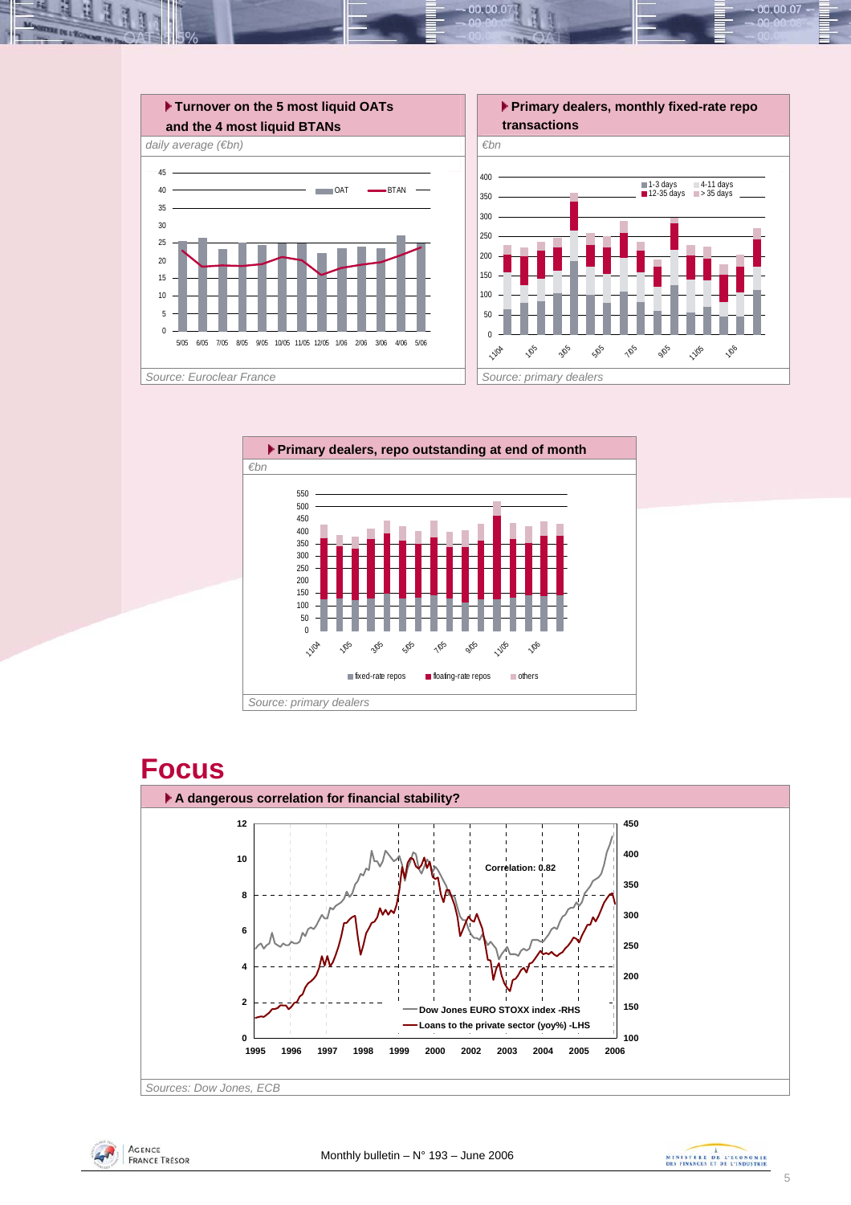











00.00.07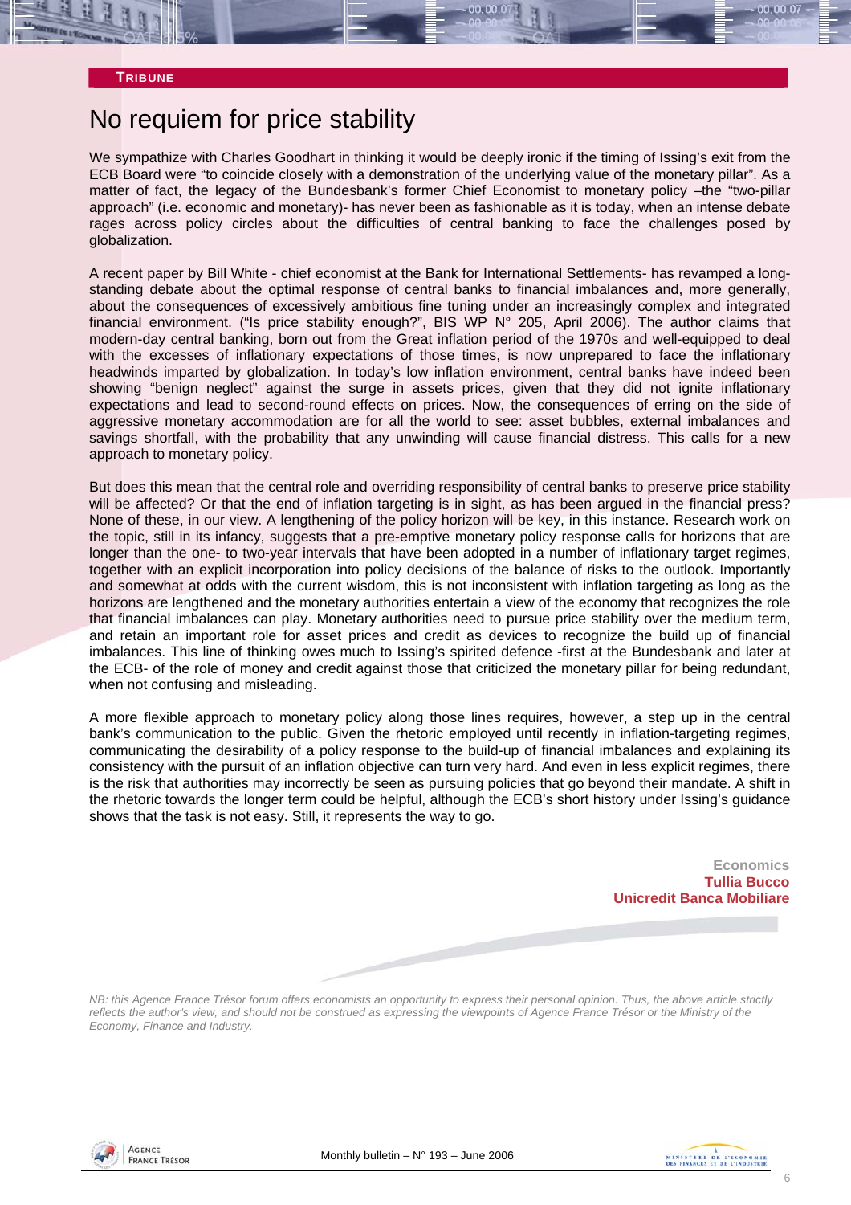### No requiem for price stability

We sympathize with Charles Goodhart in thinking it would be deeply ironic if the timing of Issing's exit from the ECB Board were "to coincide closely with a demonstration of the underlying value of the monetary pillar". As a matter of fact, the legacy of the Bundesbank's former Chief Economist to monetary policy –the "two-pillar approach" (i.e. economic and monetary)- has never been as fashionable as it is today, when an intense debate rages across policy circles about the difficulties of central banking to face the challenges posed by globalization.

A recent paper by Bill White - chief economist at the Bank for International Settlements- has revamped a longstanding debate about the optimal response of central banks to financial imbalances and, more generally, about the consequences of excessively ambitious fine tuning under an increasingly complex and integrated financial environment. ("Is price stability enough?", BIS WP N° 205, April 2006). The author claims that modern-day central banking, born out from the Great inflation period of the 1970s and well-equipped to deal with the excesses of inflationary expectations of those times, is now unprepared to face the inflationary headwinds imparted by globalization. In today's low inflation environment, central banks have indeed been showing "benign neglect" against the surge in assets prices, given that they did not ignite inflationary expectations and lead to second-round effects on prices. Now, the consequences of erring on the side of aggressive monetary accommodation are for all the world to see: asset bubbles, external imbalances and savings shortfall, with the probability that any unwinding will cause financial distress. This calls for a new approach to monetary policy.

But does this mean that the central role and overriding responsibility of central banks to preserve price stability will be affected? Or that the end of inflation targeting is in sight, as has been argued in the financial press? None of these, in our view. A lengthening of the policy horizon will be key, in this instance. Research work on the topic, still in its infancy, suggests that a pre-emptive monetary policy response calls for horizons that are longer than the one- to two-year intervals that have been adopted in a number of inflationary target regimes, together with an explicit incorporation into policy decisions of the balance of risks to the outlook. Importantly and somewhat at odds with the current wisdom, this is not inconsistent with inflation targeting as long as the horizons are lengthened and the monetary authorities entertain a view of the economy that recognizes the role that financial imbalances can play. Monetary authorities need to pursue price stability over the medium term, and retain an important role for asset prices and credit as devices to recognize the build up of financial imbalances. This line of thinking owes much to Issing's spirited defence -first at the Bundesbank and later at the ECB- of the role of money and credit against those that criticized the monetary pillar for being redundant, when not confusing and misleading.

A more flexible approach to monetary policy along those lines requires, however, a step up in the central bank's communication to the public. Given the rhetoric employed until recently in inflation-targeting regimes, communicating the desirability of a policy response to the build-up of financial imbalances and explaining its consistency with the pursuit of an inflation objective can turn very hard. And even in less explicit regimes, there is the risk that authorities may incorrectly be seen as pursuing policies that go beyond their mandate. A shift in the rhetoric towards the longer term could be helpful, although the ECB's short history under Issing's guidance shows that the task is not easy. Still, it represents the way to go.

> **Economics Tullia Bucco Unicredit Banca Mobiliare**

*NB: this Agence France Trésor forum offers economists an opportunity to express their personal opinion. Thus, the above article strictly reflects the author's view, and should not be construed as expressing the viewpoints of Agence France Trésor or the Ministry of the Economy, Finance and Industry.* 



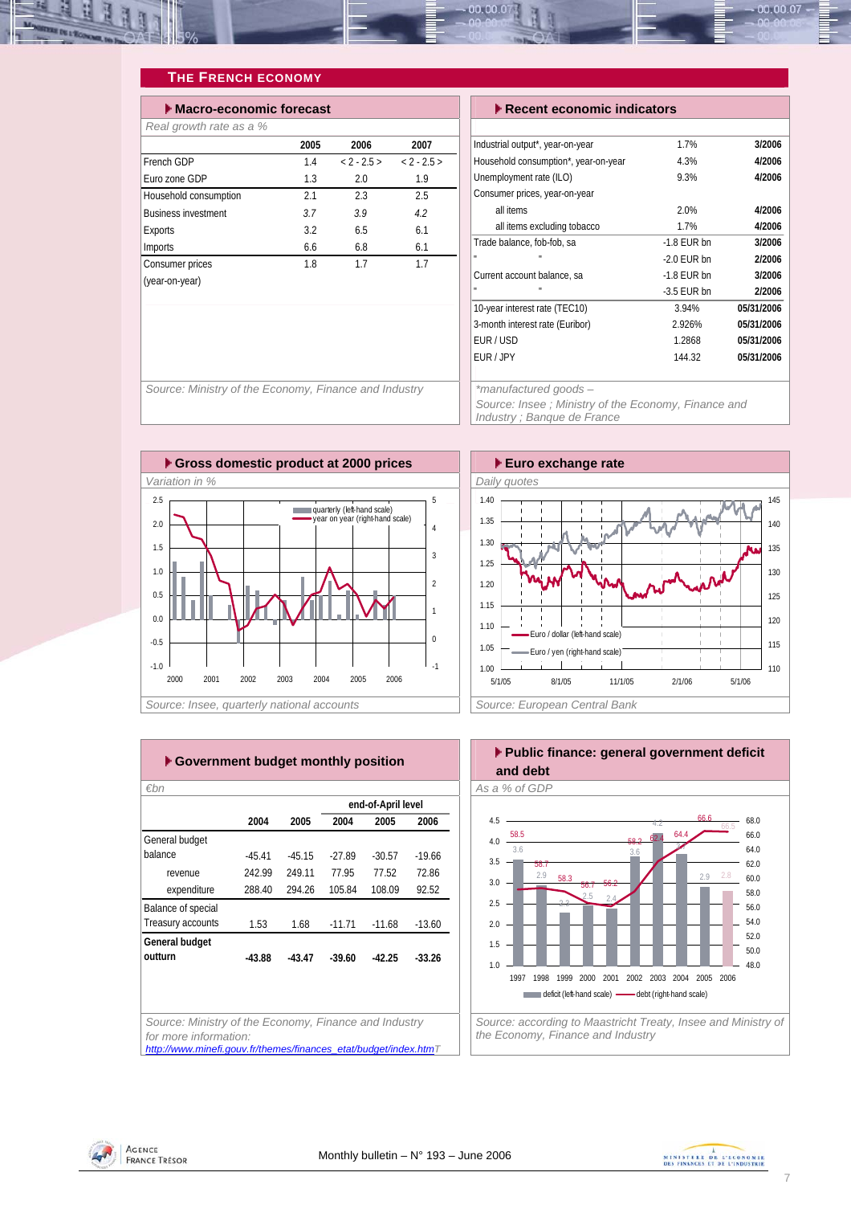<span id="page-6-0"></span>

### **THE FRENCH ECONOMY**

| Macro-economic forecast    |      | $\blacktriangleright$ Recent economic indicators |          |                                      |        |
|----------------------------|------|--------------------------------------------------|----------|--------------------------------------|--------|
| Real growth rate as a %    |      |                                                  |          |                                      |        |
|                            | 2005 | 2006                                             | 2007     | Industrial output*, year-on-year     |        |
| French GDP                 | 1.4  | $< 2 - 2.5 >$                                    | $2 - 25$ | Household consumption*, year-on-year |        |
| Euro zone GDP              | 1.3  | 2.0                                              | 1.9      | Unemployment rate (ILO)              |        |
| Household consumption      | 2.1  | 2.3                                              | 2.5      | Consumer prices, year-on-year        |        |
| <b>Business investment</b> | 3.7  | 3.9                                              | 4.2      | all items                            |        |
| Exports                    | 3.2  | 6.5                                              | 6.1      | all items excluding tobacco          |        |
| Imports                    | 6.6  | 6.8                                              | 6.1      | Trade balance, fob-fob, sa           | $-1.8$ |
| Consumer prices            | 1.8  | 1.7                                              | 1.7      | $\mathbf{u}$                         | $-2.0$ |
| (year-on-year)             |      |                                                  |          | Current account balance, sa          | $-1.8$ |
|                            |      |                                                  |          | $\mathbf{u}$                         | $-3.5$ |

|  |  | $\blacktriangleright$ Recent economic indicators |
|--|--|--------------------------------------------------|

| Industrial output*, year-on-year     | 1.7%          | 3/2006     |
|--------------------------------------|---------------|------------|
| Household consumption*, year-on-year | 4.3%          | 4/2006     |
| Unemployment rate (ILO)              | 9.3%          | 4/2006     |
| Consumer prices, year-on-year        |               |            |
| all items                            | 2.0%          | 4/2006     |
| all items excluding tobacco          | 1.7%          | 4/2006     |
| Trade balance, fob-fob, sa           | $-1.8$ FUR bn | 3/2006     |
| u,                                   | $-2.0$ FUR bn | 2/2006     |
| Current account balance, sa          | $-1.8$ FUR bn | 3/2006     |
| u,<br>$\mathbf{u}$                   | $-3.5$ FUR bn | 2/2006     |
| 10-year interest rate (TEC10)        | 3.94%         | 05/31/2006 |
| 3-month interest rate (Euribor)      | 2.926%        | 05/31/2006 |
| FUR/USD                              | 1.2868        | 05/31/2006 |
| FUR / JPY                            | 144.32        | 05/31/2006 |
|                                      |               |            |

*Source: Ministry of the Economy, Finance and Industry \*manufactured goods –* 

*Source: Insee ; Ministry of the Economy, Finance and Industry ; Banque de France* 





| ▶ Government budget monthly position |          |          |          |                    |          |  |  |  |  |
|--------------------------------------|----------|----------|----------|--------------------|----------|--|--|--|--|
| €bn                                  |          |          |          |                    |          |  |  |  |  |
|                                      |          |          |          | end-of-April level |          |  |  |  |  |
|                                      | 2004     | 2005     | 2004     | 2005               | 2006     |  |  |  |  |
| General budget                       |          |          |          |                    |          |  |  |  |  |
| balance                              | $-45.41$ | $-45.15$ | $-27.89$ | $-30.57$           | $-1966$  |  |  |  |  |
| revenue                              | 242.99   | 249.11   | 7795     | 77.52              | 7286     |  |  |  |  |
| expenditure                          | 288.40   | 294.26   | 105.84   | 108.09             | 92.52    |  |  |  |  |
| Balance of special                   |          |          |          |                    |          |  |  |  |  |
| Treasury accounts                    | 1.53     | 1.68     | $-11.71$ | $-11.68$           | $-13.60$ |  |  |  |  |
| General budget                       |          |          |          |                    |          |  |  |  |  |
| outturn                              | $-43.88$ | $-43.47$ | $-39.60$ | $-42.25$           | $-33.26$ |  |  |  |  |
|                                      |          |          |          |                    |          |  |  |  |  |
|                                      |          |          |          |                    |          |  |  |  |  |
|                                      |          |          |          |                    |          |  |  |  |  |

*Source: Ministry of the Economy, Finance and Industry for more information: [http://www.minefi.gouv.fr/themes/finances\\_etat/budget/index.htmT](http://www.minefi.gouv.fr/themes/finances_etat/budget/index.htm)*



*the Economy, Finance and Industry* 



AGENCE

**FRANCE TRÉSOR** 

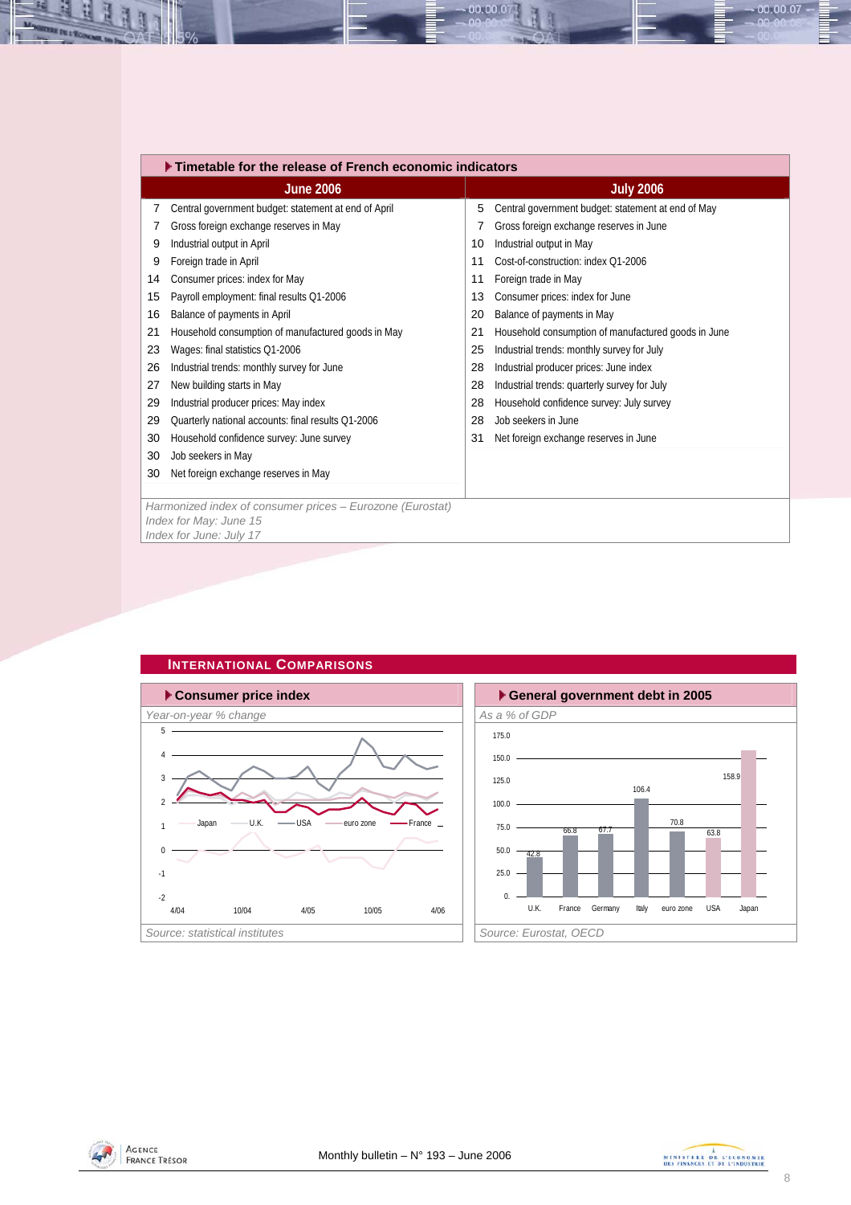<span id="page-7-0"></span>

|    | ▶ Timetable for the release of French economic indicators |    |                                                     |  |  |  |  |  |
|----|-----------------------------------------------------------|----|-----------------------------------------------------|--|--|--|--|--|
|    | <b>June 2006</b>                                          |    | <b>July 2006</b>                                    |  |  |  |  |  |
| 7  | Central government budget: statement at end of April      | 5  | Central government budget: statement at end of May  |  |  |  |  |  |
|    | Gross foreign exchange reserves in May                    |    | Gross foreign exchange reserves in June             |  |  |  |  |  |
| 9  | Industrial output in April                                | 10 | Industrial output in May                            |  |  |  |  |  |
| 9  | Foreign trade in April                                    | 11 | Cost-of-construction: index 01-2006                 |  |  |  |  |  |
| 14 | Consumer prices: index for May                            | 11 | Foreign trade in May                                |  |  |  |  |  |
| 15 | Payroll employment: final results Q1-2006                 | 13 | Consumer prices: index for June                     |  |  |  |  |  |
| 16 | Balance of payments in April                              | 20 | Balance of payments in May                          |  |  |  |  |  |
| 21 | Household consumption of manufactured goods in May        | 21 | Household consumption of manufactured goods in June |  |  |  |  |  |
| 23 | Wages: final statistics Q1-2006                           | 25 | Industrial trends: monthly survey for July          |  |  |  |  |  |
| 26 | Industrial trends: monthly survey for June                | 28 | Industrial producer prices: June index              |  |  |  |  |  |
| 27 | New building starts in May                                | 28 | Industrial trends: quarterly survey for July        |  |  |  |  |  |
| 29 | Industrial producer prices: May index                     | 28 | Household confidence survey: July survey            |  |  |  |  |  |
| 29 | Quarterly national accounts: final results Q1-2006        | 28 | Job seekers in June                                 |  |  |  |  |  |
| 30 | Household confidence survey: June survey                  | 31 | Net foreign exchange reserves in June               |  |  |  |  |  |
| 30 | Job seekers in May                                        |    |                                                     |  |  |  |  |  |
| 30 | Net foreign exchange reserves in May                      |    |                                                     |  |  |  |  |  |
|    |                                                           |    |                                                     |  |  |  |  |  |
|    | Harmonized index of consumer prices - Eurozone (Eurostat) |    |                                                     |  |  |  |  |  |
|    | Index for May: June 15<br>Index for June: July 17         |    |                                                     |  |  |  |  |  |
|    |                                                           |    |                                                     |  |  |  |  |  |

 $00.00.0$ 



### **INTERNATIONAL COMPARISONS**





00.00.07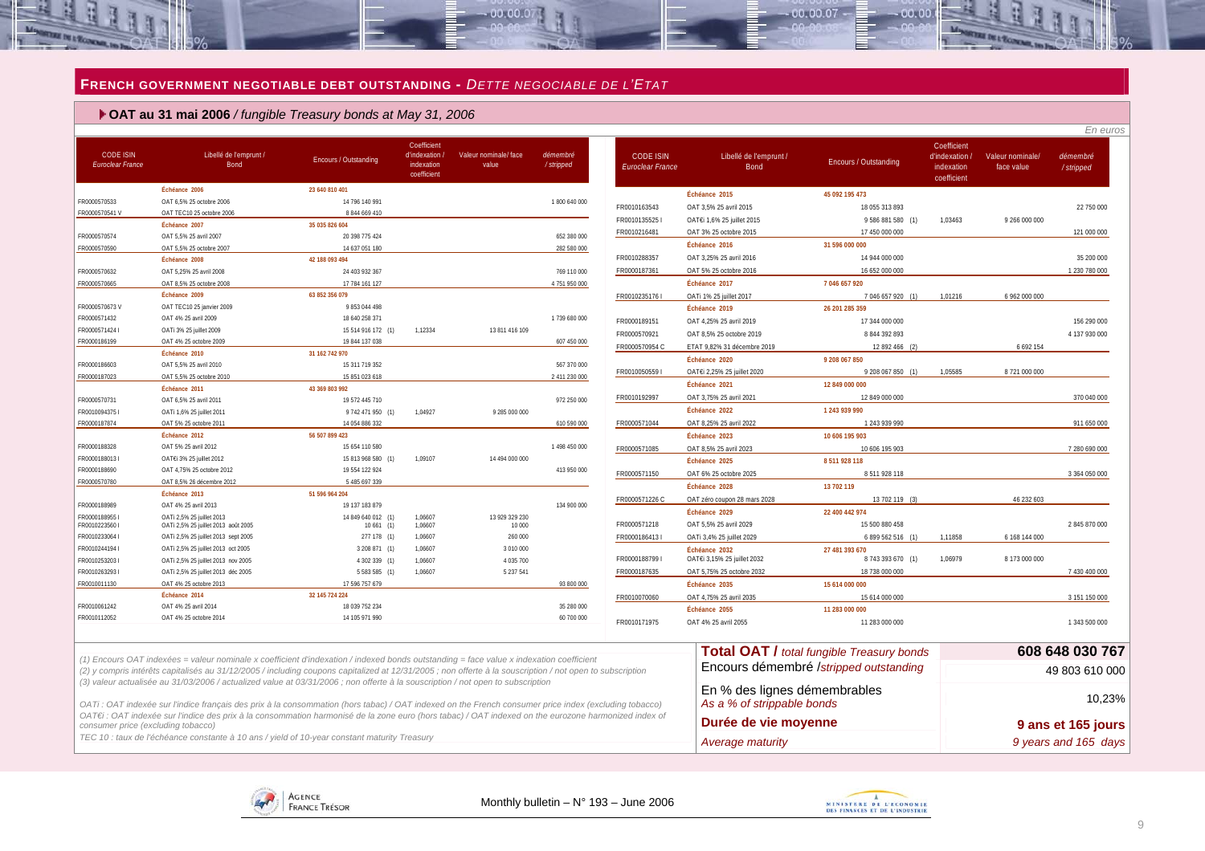#### **FRENCH GOVERNMENT NEGOTIABLE DEBT OUTSTANDING -** *DETTE NEGOCIABLE DE L'ETAT*

oo oo o

#### **OAT au 31 mai 2006** */ fungible Treasury bonds at May 31, 2006*

| FR0000570533<br>FR0000570541 V<br>FR0000570574<br>FR0000570632  | Échéance 2006<br>OAT 6.5% 25 octobre 2006<br>OAT TEC10 25 octobre 2006<br>Échéance 2007<br>OAT 5.5% 25 avril 2007<br>OAT 5.5% 25 octobre 2007<br>Échéance 2008<br>OAT 5,25% 25 avril 2008<br>OAT 8,5% 25 octobre 2008<br>Échéance 2009<br>OAT TEC10 25 janvier 2009<br>OAT 4% 25 avril 2009<br>OATi 3% 25 juillet 2009 | 23 640 810 401<br>14 796 140 991<br>8 844 669 410<br>35 035 826 604<br>20 398 775 424<br>14 637 051 180<br>42 188 093 494<br>24 403 932 367<br>17 784 161 127<br>63 852 356 079<br>9 853 044 498 |         |                | 1 800 640 000<br>652 380 000<br>282 580 000<br>769 110 000 | FR0010163543<br>FR00101355251<br>FR0010216481<br>FR0010288357 | Échéance 2015<br>OAT 3,5% 25 avril 2015<br>OAT€i 1,6% 25 juillet 2015<br>OAT 3% 25 octobre 2015<br>Échéance 2016 | 45 092 195 473<br>18 055 313 893<br>9 586 881 580 (1)<br>17 450 000 000<br>31 596 000 000 | 1.03463 | 9 266 000 000 | 22 750 000<br>121 000 000 |
|-----------------------------------------------------------------|------------------------------------------------------------------------------------------------------------------------------------------------------------------------------------------------------------------------------------------------------------------------------------------------------------------------|--------------------------------------------------------------------------------------------------------------------------------------------------------------------------------------------------|---------|----------------|------------------------------------------------------------|---------------------------------------------------------------|------------------------------------------------------------------------------------------------------------------|-------------------------------------------------------------------------------------------|---------|---------------|---------------------------|
|                                                                 |                                                                                                                                                                                                                                                                                                                        |                                                                                                                                                                                                  |         |                |                                                            |                                                               |                                                                                                                  |                                                                                           |         |               |                           |
|                                                                 |                                                                                                                                                                                                                                                                                                                        |                                                                                                                                                                                                  |         |                |                                                            |                                                               |                                                                                                                  |                                                                                           |         |               |                           |
| FR0000570590                                                    |                                                                                                                                                                                                                                                                                                                        |                                                                                                                                                                                                  |         |                |                                                            |                                                               |                                                                                                                  |                                                                                           |         |               |                           |
|                                                                 |                                                                                                                                                                                                                                                                                                                        |                                                                                                                                                                                                  |         |                |                                                            |                                                               |                                                                                                                  |                                                                                           |         |               |                           |
|                                                                 |                                                                                                                                                                                                                                                                                                                        |                                                                                                                                                                                                  |         |                |                                                            |                                                               |                                                                                                                  |                                                                                           |         |               |                           |
| FR0000570665<br>FR0000570673V<br>FR0000571432<br>FR0000571424 I |                                                                                                                                                                                                                                                                                                                        |                                                                                                                                                                                                  |         |                |                                                            |                                                               | OAT 3.25% 25 avril 2016                                                                                          | 14 944 000 000                                                                            |         |               | 35 200 000                |
|                                                                 |                                                                                                                                                                                                                                                                                                                        |                                                                                                                                                                                                  |         |                |                                                            |                                                               |                                                                                                                  |                                                                                           |         |               |                           |
|                                                                 |                                                                                                                                                                                                                                                                                                                        |                                                                                                                                                                                                  |         |                |                                                            | FR0000187361                                                  | OAT 5% 25 octobre 2016                                                                                           | 16 652 000 000                                                                            |         |               | 1 230 780 000             |
| FR0000186199                                                    |                                                                                                                                                                                                                                                                                                                        |                                                                                                                                                                                                  |         |                | 4 751 950 000                                              |                                                               | Échéance 2017                                                                                                    | 7 046 657 920                                                                             |         |               |                           |
|                                                                 |                                                                                                                                                                                                                                                                                                                        |                                                                                                                                                                                                  |         |                |                                                            | FR00102351761                                                 | OATi 1% 25 juillet 2017                                                                                          | 7 046 657 920 (1)                                                                         | 1,01216 | 6 962 000 000 |                           |
|                                                                 |                                                                                                                                                                                                                                                                                                                        |                                                                                                                                                                                                  |         |                |                                                            |                                                               | Échéance 2019                                                                                                    | 26 201 285 359                                                                            |         |               |                           |
|                                                                 |                                                                                                                                                                                                                                                                                                                        | 18 640 258 371                                                                                                                                                                                   |         |                | 1739 680 000                                               | FR0000189151                                                  | OAT 4.25% 25 avril 2019                                                                                          | 17 344 000 000                                                                            |         |               | 156 290 000               |
|                                                                 |                                                                                                                                                                                                                                                                                                                        | 15 514 916 172 (1)                                                                                                                                                                               | 1,12334 | 13 811 416 109 |                                                            | FR0000570921                                                  | OAT 8,5% 25 octobre 2019                                                                                         | 8 844 392 893                                                                             |         |               | 4 137 930 000             |
|                                                                 | OAT 4% 25 octobre 2009                                                                                                                                                                                                                                                                                                 | 19 844 137 038                                                                                                                                                                                   |         |                | 607 450 000                                                | FR0000570954 C                                                | ETAT 9.82% 31 décembre 2019                                                                                      | 12 892 466 (2)                                                                            |         | 6 692 154     |                           |
|                                                                 | Échéance 2010                                                                                                                                                                                                                                                                                                          | 31 162 742 970                                                                                                                                                                                   |         |                |                                                            |                                                               | Échéance 2020                                                                                                    | 9 208 067 850                                                                             |         |               |                           |
| FR0000186603                                                    | OAT 5,5% 25 avril 2010                                                                                                                                                                                                                                                                                                 | 15 311 719 352                                                                                                                                                                                   |         |                | 567 370 000                                                | FR00100505591                                                 | OAT€i 2,25% 25 juillet 2020                                                                                      | 9 208 067 850 (1)                                                                         | 1,05585 | 8721000000    |                           |
| FR0000187023                                                    | OAT 5,5% 25 octobre 2010                                                                                                                                                                                                                                                                                               | 15 851 023 618                                                                                                                                                                                   |         |                | 2 411 230 000                                              |                                                               | Échéance 2021                                                                                                    | 12 849 000 000                                                                            |         |               |                           |
|                                                                 | Échéance 2011                                                                                                                                                                                                                                                                                                          | 43 369 803 992                                                                                                                                                                                   |         |                |                                                            | FR0010192997                                                  | OAT 3.75% 25 avril 2021                                                                                          | 12 849 000 000                                                                            |         |               | 370 040 000               |
| FR0000570731                                                    | OAT 6.5% 25 avril 2011                                                                                                                                                                                                                                                                                                 | 19 572 445 710                                                                                                                                                                                   |         |                | 972 250 000                                                |                                                               | Échéance 2022                                                                                                    | 1 243 939 990                                                                             |         |               |                           |
| FR00100943751<br>FR0000187874                                   | OATi 1,6% 25 juillet 2011                                                                                                                                                                                                                                                                                              | 9 742 471 950 (1)                                                                                                                                                                                | 1.04927 | 9 285 000 000  |                                                            | FR0000571044                                                  | OAT 8,25% 25 avril 2022                                                                                          | 1 243 939 990                                                                             |         |               | 911 650 000               |
|                                                                 | OAT 5% 25 octobre 2011<br>Échéance 2012                                                                                                                                                                                                                                                                                | 14 054 886 332<br>56 507 899 423                                                                                                                                                                 |         |                | 610 590 000                                                |                                                               |                                                                                                                  |                                                                                           |         |               |                           |
| FR0000188328                                                    | OAT 5% 25 avril 2012                                                                                                                                                                                                                                                                                                   | 15 654 110 580                                                                                                                                                                                   |         |                | 1 498 450 000                                              |                                                               | Échéance 2023                                                                                                    | 10 606 195 903                                                                            |         |               |                           |
|                                                                 |                                                                                                                                                                                                                                                                                                                        |                                                                                                                                                                                                  | 1.09107 |                |                                                            | FR0000571085                                                  | OAT 8,5% 25 avril 2023                                                                                           | 10 606 195 903                                                                            |         |               | 7 280 690 000             |
| FR00001880131                                                   | OATEi 3% 25 juillet 2012                                                                                                                                                                                                                                                                                               | 15 813 968 580 (1)                                                                                                                                                                               |         | 14 494 000 000 |                                                            |                                                               | Échéance 2025                                                                                                    | 8 511 928 118                                                                             |         |               |                           |
| FR0000188690                                                    | OAT 4,75% 25 octobre 2012                                                                                                                                                                                                                                                                                              | 19 554 122 924                                                                                                                                                                                   |         |                | 413 950 000                                                | FR0000571150                                                  | OAT 6% 25 octobre 2025                                                                                           | 8 511 928 118                                                                             |         |               | 3 364 050 000             |
| FR0000570780                                                    | OAT 8.5% 26 décembre 2012<br>Échéance 2013                                                                                                                                                                                                                                                                             | 5 485 697 339<br>51 596 964 204                                                                                                                                                                  |         |                |                                                            |                                                               | Échéance 2028                                                                                                    | 13 702 119                                                                                |         |               |                           |
| FR0000188989                                                    | OAT 4% 25 avril 2013                                                                                                                                                                                                                                                                                                   | 19 137 183 879                                                                                                                                                                                   |         |                | 134 900 000                                                | FR0000571226 C                                                | OAT zéro coupon 28 mars 2028                                                                                     | 13 702 119 (3)                                                                            |         | 46 232 603    |                           |
| FR00001889551                                                   |                                                                                                                                                                                                                                                                                                                        | 14 849 640 012 (1)                                                                                                                                                                               | 1,06607 | 13 929 329 230 |                                                            |                                                               | Échéance 2029                                                                                                    | 22 400 442 974                                                                            |         |               |                           |
| FR00102235601                                                   | OATi 2,5% 25 juillet 2013<br>OATi 2,5% 25 juillet 2013 août 2005                                                                                                                                                                                                                                                       | $10661$ (1)                                                                                                                                                                                      | 1,06607 | 10 000         |                                                            | FR0000571218                                                  | OAT 5.5% 25 avril 2029                                                                                           | 15 500 880 458                                                                            |         |               | 2845870000                |
| FR0010233064 I                                                  | OATi 2,5% 25 juillet 2013 sept 2005                                                                                                                                                                                                                                                                                    | 277 178 (1)                                                                                                                                                                                      | 1.06607 | 260 000        |                                                            | FR00001864131                                                 | OATi 3.4% 25 juillet 2029                                                                                        | 6 899 562 516 (1)                                                                         | 1.11858 | 6 168 144 000 |                           |
| FR0010244194 I                                                  | OATi 2,5% 25 juillet 2013 oct 2005                                                                                                                                                                                                                                                                                     | 3 208 871 (1)                                                                                                                                                                                    | 1.06607 | 3 010 000      |                                                            |                                                               | Échéance 2032                                                                                                    | 27 481 393 670                                                                            |         |               |                           |
| FR00102532031                                                   | OATi 2,5% 25 juillet 2013 nov 2005                                                                                                                                                                                                                                                                                     | 4 302 339 (1)                                                                                                                                                                                    | 1,06607 | 4 035 700      |                                                            | FR0000188799 I                                                | OAT€i 3,15% 25 juillet 2032                                                                                      | 8 743 393 670 (1)                                                                         | 1,06979 | 8 173 000 000 |                           |
| FR00102632931                                                   | OATi 2,5% 25 juillet 2013 déc 2005                                                                                                                                                                                                                                                                                     | 5 583 585 (1)                                                                                                                                                                                    | 1,06607 | 5 237 541      |                                                            | FR0000187635                                                  | OAT 5.75% 25 octobre 2032                                                                                        | 18 738 000 000                                                                            |         |               | 7 430 400 000             |
| FR0010011130                                                    | OAT 4% 25 octobre 2013                                                                                                                                                                                                                                                                                                 | 17 596 757 679                                                                                                                                                                                   |         |                | 93 800 000                                                 |                                                               | Échéance 2035                                                                                                    | 15 614 000 000                                                                            |         |               |                           |
|                                                                 | Échéance 2014                                                                                                                                                                                                                                                                                                          | 32 145 724 224                                                                                                                                                                                   |         |                |                                                            | FR0010070060                                                  | OAT 4,75% 25 avril 2035                                                                                          | 15 614 000 000                                                                            |         |               | 3 151 150 000             |
| FR0010061242                                                    | OAT 4% 25 avril 2014                                                                                                                                                                                                                                                                                                   | 18 039 752 234                                                                                                                                                                                   |         |                | 35 280 000                                                 |                                                               | Échéance 2055                                                                                                    | 11 283 000 000                                                                            |         |               |                           |
| FR0010112052                                                    | OAT 4% 25 octobre 2014                                                                                                                                                                                                                                                                                                 | 14 105 971 990                                                                                                                                                                                   |         |                | 60 700 000                                                 | FR0010171975                                                  | OAT 4% 25 avril 2055                                                                                             | 11 283 000 000                                                                            |         |               | 1 343 500 000             |

*(1) Encours OAT indexées = valeur nominale x coefficient d'indexation / indexed bonds outstanding = face value x indexation coefficient (2) y compris intérêts capitalisés au 31/12/2005 / including coupons capitalized at 12/31/2005 ; non offerte à la souscription / not open to subscription (3) valeur actualisée au 31/03/2006 / actualized value at 03/31/2006 ; non offerte à la souscription / not open to subscription*

*OATi : OAT indexée sur l'indice français des prix à la consommation (hors tabac) / OAT indexed on the French consumer price index (excluding tobacco) OAT€i : OAT indexée sur l'indice des prix à la consommation harmonisé de la zone euro (hors tabac) / OAT indexed on the eurozone harmonized index of consumer price (excluding tobacco)*

<span id="page-8-0"></span>